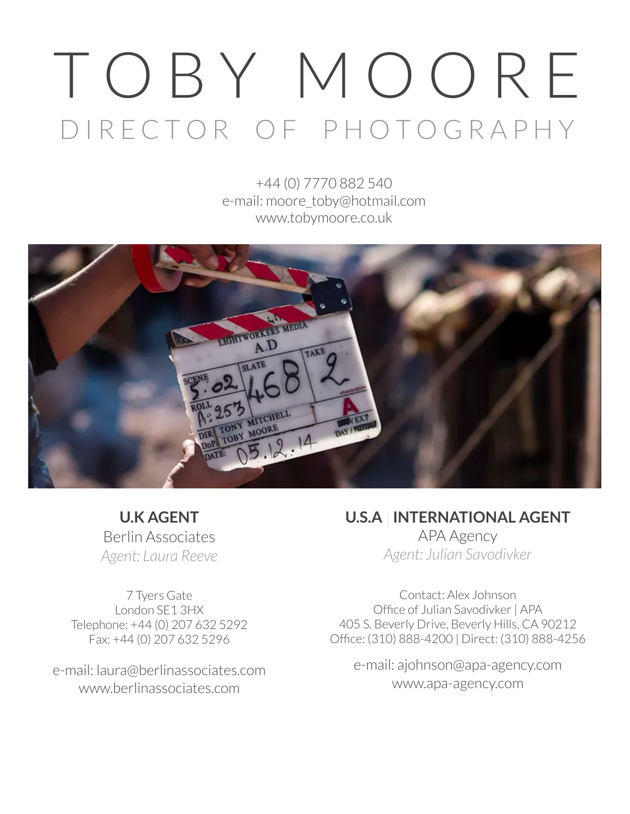# T O B Y M O O R E D I R E C T O R O F P H O T O G R A P H Y

+44 (0) 7770 882 540 e-mail: moore\_toby@hotmail.com www.tobymoore.co.uk



**U.K AGENT** Berlin Associates *Agent: Laura Reeve*

7 Tyers Gate London SE1 3HX Telephone: +44 (0) 207 632 5292 Fax: +44 (0) 207 632 5296

e-mail: laura@berlinassociates.com www.berlinassociates.com

**U.S.A** | **INTERNATIONAL AGENT** APA Agency

*Agent: Julian Savodivker*

Contact: Alex Johnson Office of Julian Savodivker| APA 405 S. Beverly Drive, Beverly Hills, CA 90212 Office: (310) 888-4200 | Direct: (310) 888-4256

e-mail: ajohnson@apa-agency.com [www.apa-agency.com](http://www.apa-agency.com/)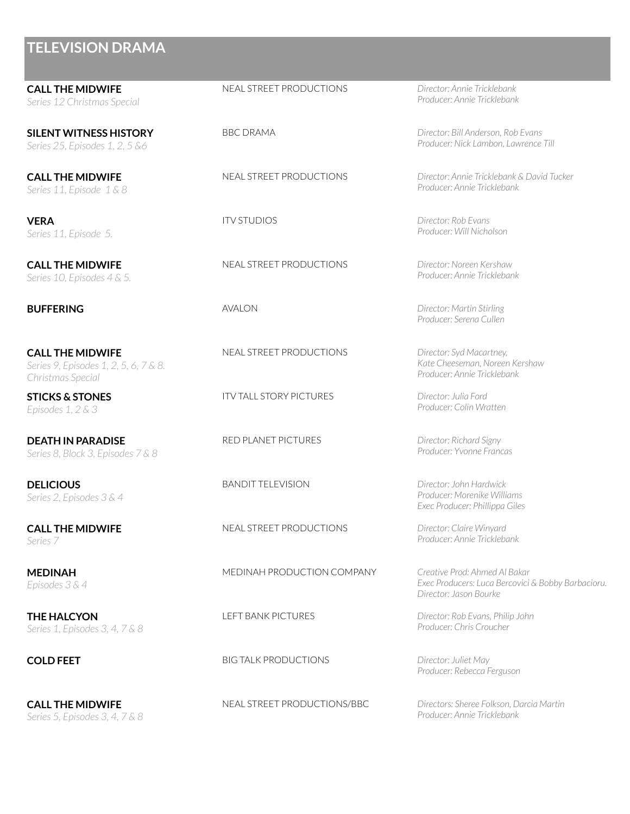**CALL THE MIDWIFE** *Series 12 Christmas Special*

**SILENT WITNESS HISTORY** *Series 25, Episodes 1, 2, 5 &6*

**CALL THE MIDWIFE** *Series 11, Episode 1 & 8*

**VERA** *Series 11, Episode 5.*

**CALL THE MIDWIFE** *Series 10, Episodes 4 & 5.*

**CALL THE MIDWIFE** *Series 9, Episodes 1, 2, 5, 6, 7 & 8. Christmas Special*

**STICKS & STONES** *Episodes 1, 2 & 3*

**DEATH IN PARADISE** *Series 8, Block 3, Episodes 7 & 8*

**DELICIOUS** *Series 2, Episodes 3 & 4*

**CALL THE MIDWIFE** *Series 7*

**MEDINAH** *Episodes 3 & 4*

**THE HALCYON** *Series 1, Episodes 3, 4, 7 & 8*

**CALL THE MIDWIFE** *Series 5, Episodes 3, 4, 7 & 8*

#### NEAL STREET PRODUCTIONS *Director: Annie Tricklebank*

NEAL STREET PRODUCTIONS *Director: Noreen Kershaw*

NEAL STREET PRODUCTIONS *Director: Syd Macartney,*

ITV TALL STORY PICTURES *Director: Julia Ford*

RED PLANET PICTURES *Director: Richard Signy*

BANDIT TELEVISION *Director: John Hardwick*

NEAL STREET PRODUCTIONS *Director: Claire Winyard*

MEDINAH PRODUCTION COMPANY *Creative Prod: Ahmed Al Bakar*

**COLD FEET** BIG TALK PRODUCTIONS *Director: Juliet May*

NEAL STREET PRODUCTIONS/BBC *Directors: Sheree Folkson, Darcia Martin*

*Producer: Annie Tricklebank*

BBC DRAMA *Director: Bill Anderson, Rob Evans Producer: Nick Lambon, Lawrence Till*

NEAL STREET PRODUCTIONS *Director: Annie Tricklebank & David Tucker Producer: Annie Tricklebank*

ITV STUDIOS *Director: Rob Evans Producer: Will Nicholson*

*Producer: Annie Tricklebank*

**BUFFERING** AVALON *Director: Martin Stirling Producer: Serena Cullen*

> *Kate Cheeseman, Noreen Kershaw Producer: Annie Tricklebank*

*Producer: Colin Wratten*

*Producer: Yvonne Francas*

*Producer: Morenike Williams Exec Producer: Phillippa Giles*

*Producer: Annie Tricklebank*

*Exec Producers: Luca Bercovici & Bobby Barbacioru. Director: Jason Bourke*

LEFT BANK PICTURES *Director: Rob Evans, Philip John Producer: Chris Croucher*

*Producer: Rebecca Ferguson*

*Producer: Annie Tricklebank*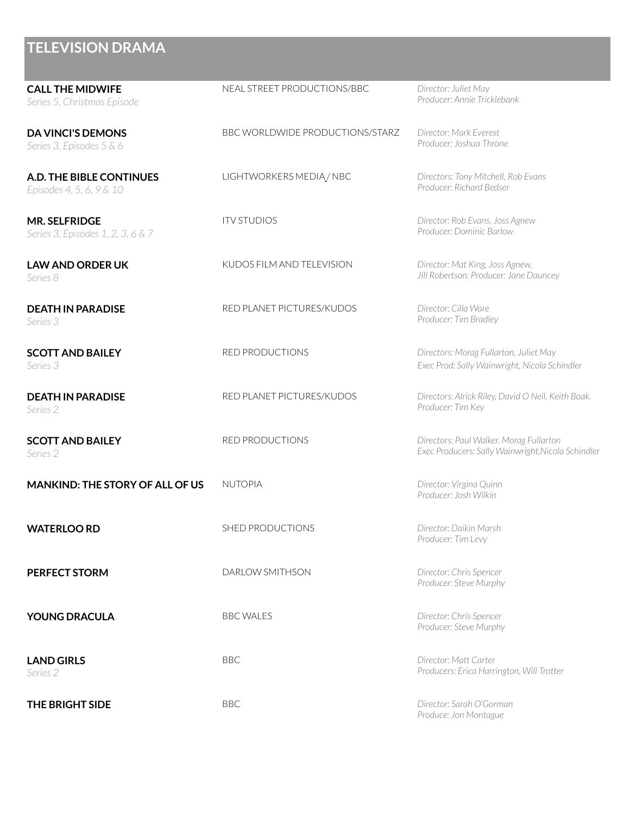| <b>CALL THE MIDWIFE</b><br>Series 5, Christmas Episode    | NEAL STREET PRODUCTIONS/BBC            | Director: Juliet May<br>Producer: Annie Tricklebank                                           |
|-----------------------------------------------------------|----------------------------------------|-----------------------------------------------------------------------------------------------|
| <b>DA VINCI'S DEMONS</b><br>Series 3, Episodes 5 & 6      | <b>BBC WORLDWIDE PRODUCTIONS/STARZ</b> | Director: Mark Everest<br>Producer: Joshua Throne                                             |
| A.D. THE BIBLE CONTINUES<br>Episodes 4, 5, 6, 9 & 10      | LIGHTWORKERS MEDIA / NBC               | Directors: Tony Mitchell, Rob Evans<br>Producer: Richard Bedser                               |
| <b>MR. SELFRIDGE</b><br>Series 3, Episodes 1, 2, 3, 6 & 7 | <b>ITV STUDIOS</b>                     | Director: Rob Evans, Joss Agnew<br>Producer: Dominic Barlow                                   |
| <b>LAW AND ORDER UK</b><br>Series 8                       | KUDOS FILM AND TELEVISION              | Director: Mat King, Joss Agnew,<br>Jill Robertson. Producer: Jane Dauncey                     |
| <b>DEATH IN PARADISE</b><br>Series 3                      | RED PLANET PICTURES/KUDOS              | Director: Cilla Ware<br>Producer: Tim Bradley                                                 |
| <b>SCOTT AND BAILEY</b><br>Series 3                       | <b>RED PRODUCTIONS</b>                 | Directors: Morag Fullarton, Juliet May<br>Exec Prod: Sally Wainwright, Nicola Schindler       |
| <b>DEATH IN PARADISE</b><br>Series 2                      | RED PLANET PICTURES/KUDOS              | Directors: Alrick Riley, David O Neil, Keith Boak.<br>Producer: Tim Key                       |
| <b>SCOTT AND BAILEY</b><br>Series 2                       | RED PRODUCTIONS                        | Directors: Paul Walker, Morag Fullarton<br>Exec Producers: Sally Wainwright, Nicola Schindler |
| <b>MANKIND: THE STORY OF ALL OF US</b>                    | <b>NUTOPIA</b>                         | Director: Virgina Quinn<br>Producer: Josh Wilkin                                              |
| <b>WATERLOO RD</b>                                        | SHED PRODUCTIONS                       | Director: Daikin Marsh<br>Producer: Tim Levy                                                  |
| <b>PERFECT STORM</b>                                      | DARLOW SMITHSON                        | Director: Chris Spencer<br>Producer: Steve Murphy                                             |
| <b>YOUNG DRACULA</b>                                      | <b>BBC WALES</b>                       | Director: Chris Spencer<br>Producer: Steve Murphy                                             |
| <b>LAND GIRLS</b><br>Series 2                             | <b>BBC</b>                             | Director: Matt Carter<br>Producers: Erica Harrington, Will Trotter                            |
| THE BRIGHT SIDE                                           | <b>BBC</b>                             | Director: Sarah O'Gorman<br>Produce: Jon Montague                                             |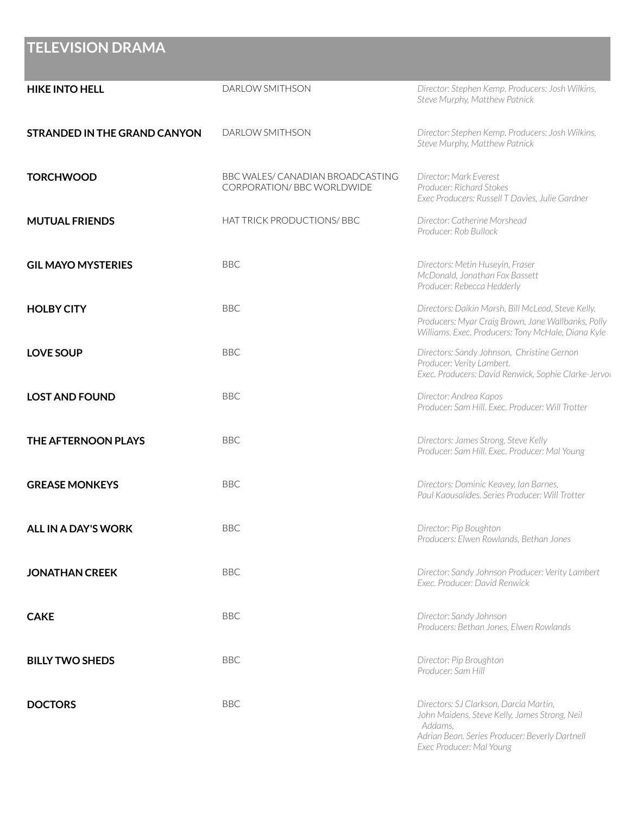| <b>HIKE INTO HELL</b>               | DARLOW SMITHSON                                                | Director: Stephen Kemp. Producers: Josh Wilkins,<br>Steve Murphy, Matthew Patnick                                                                                                |
|-------------------------------------|----------------------------------------------------------------|----------------------------------------------------------------------------------------------------------------------------------------------------------------------------------|
| <b>STRANDED IN THE GRAND CANYON</b> | DARLOW SMITHSON                                                | Director: Stephen Kemp. Producers: Josh Wilkins,<br>Steve Murphy, Matthew Patnick                                                                                                |
| <b>TORCHWOOD</b>                    | BBC WALES/ CANADIAN BROADCASTING<br>CORPORATION/ BBC WORLDWIDE | Director: Mark Everest<br>Producer: Richard Stokes<br>Exec Producers: Russell T Davies, Julie Gardner                                                                            |
| <b>MUTUAL FRIENDS</b>               | HAT TRICK PRODUCTIONS/ BBC                                     | Director: Catherine Morshead<br>Producer: Rob Bullock                                                                                                                            |
| <b>GIL MAYO MYSTERIES</b>           | <b>BBC</b>                                                     | Directors: Metin Huseyin, Fraser<br>McDonald, Jonathan Fox Bassett<br>Producer: Rebecca Hedderly                                                                                 |
| <b>HOLBY CITY</b>                   | <b>BBC</b>                                                     | Directors: Daikin Marsh, Bill McLeod, Steve Kelly.<br>Producers: Myar Craig Brown, Jane Wallbanks, Polly<br>Williams. Exec. Producers: Tony McHale, Diana Kyle                   |
| <b>LOVE SOUP</b>                    | <b>BBC</b>                                                     | Directors: Sandy Johnson, Christine Gernon<br>Producer: Verity Lambert.<br>Exec. Producers: David Renwick, Sophie Clarke-Jervol                                                  |
| <b>LOST AND FOUND</b>               | <b>BBC</b>                                                     | Director: Andrea Kapos<br>Producer: Sam Hill. Exec. Producer: Will Trotter                                                                                                       |
| THE AFTERNOON PLAYS                 | <b>BBC</b>                                                     | Directors: James Strong, Steve Kelly<br>Producer: Sam Hill. Exec. Producer: Mal Young                                                                                            |
| <b>GREASE MONKEYS</b>               | <b>BBC</b>                                                     | Directors: Dominic Keavey, Ian Barnes,<br>Paul Kaousalides, Series Producer: Will Trotter                                                                                        |
| <b>ALL IN A DAY'S WORK</b>          | <b>BBC</b>                                                     | Director: Pip Boughton<br>Producers: Elwen Rowlands, Bethan Jones                                                                                                                |
| <b>JONATHAN CREEK</b>               | <b>BBC</b>                                                     | Director: Sandy Johnson Producer: Verity Lambert<br>Exec. Producer: David Renwick                                                                                                |
| <b>CAKE</b>                         | <b>BBC</b>                                                     | Director: Sandy Johnson<br>Producers: Bethan Jones, Elwen Rowlands                                                                                                               |
| <b>BILLY TWO SHEDS</b>              | <b>BBC</b>                                                     | Director: Pip Broughton<br>Producer: Sam Hill                                                                                                                                    |
| <b>DOCTORS</b>                      | <b>BBC</b>                                                     | Directors: SJ Clarkson, Darcia Martin,<br>John Maidens, Steve Kelly, James Strong, Neil<br>Addams.<br>Adrian Bean. Series Producer: Beverly Dartnell<br>Exec Producer: Mal Young |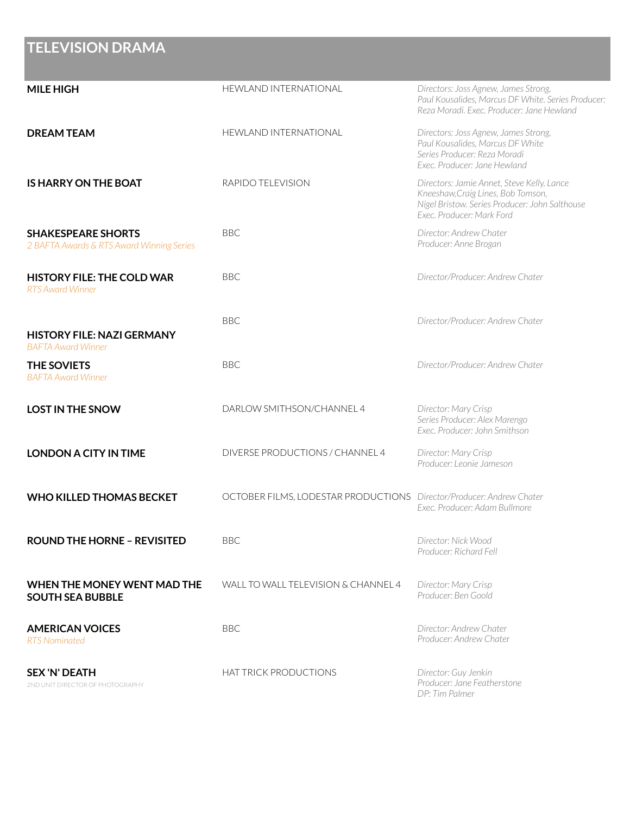| <b>MILE HIGH</b>                                                       | <b>HEWLAND INTERNATIONAL</b>                                         | Directors: Joss Agnew, James Strong,<br>Paul Kousalides, Marcus DF White. Series Producer:<br>Reza Moradi, Exec. Producer: Jane Hewland                         |
|------------------------------------------------------------------------|----------------------------------------------------------------------|-----------------------------------------------------------------------------------------------------------------------------------------------------------------|
| <b>DREAM TEAM</b>                                                      | HEWLAND INTERNATIONAL                                                | Directors: Joss Agnew, James Strong,<br>Paul Kousalides, Marcus DF White<br>Series Producer: Reza Moradi<br>Exec. Producer: Jane Hewland                        |
| <b>IS HARRY ON THE BOAT</b>                                            | RAPIDO TELEVISION                                                    | Directors: Jamie Annet, Steve Kelly, Lance<br>Kneeshaw, Craig Lines, Bob Tomson,<br>Nigel Bristow. Series Producer: John Salthouse<br>Exec. Producer: Mark Ford |
| <b>SHAKESPEARE SHORTS</b><br>2 BAFTA Awards & RTS Award Winning Series | <b>BBC</b>                                                           | Director: Andrew Chater<br>Producer: Anne Brogan                                                                                                                |
| <b>HISTORY FILE: THE COLD WAR</b><br><b>RTS Award Winner</b>           | <b>BBC</b>                                                           | Director/Producer: Andrew Chater                                                                                                                                |
| <b>HISTORY FILE: NAZI GERMANY</b><br><b>BAFTA Award Winner</b>         | <b>BBC</b>                                                           | Director/Producer: Andrew Chater                                                                                                                                |
| <b>THE SOVIETS</b><br><b>BAFTA Award Winner</b>                        | <b>BBC</b>                                                           | Director/Producer: Andrew Chater                                                                                                                                |
| <b>LOST IN THE SNOW</b>                                                | DARLOW SMITHSON/CHANNEL 4                                            | Director: Mary Crisp<br>Series Producer: Alex Marengo<br>Exec. Producer: John Smithson                                                                          |
| <b>LONDON A CITY IN TIME</b>                                           | DIVERSE PRODUCTIONS / CHANNEL 4                                      | Director: Mary Crisp<br>Producer: Leonie Jameson                                                                                                                |
| <b>WHO KILLED THOMAS BECKET</b>                                        | OCTOBER FILMS, LODESTAR PRODUCTIONS Director/Producer: Andrew Chater | Exec. Producer: Adam Bullmore                                                                                                                                   |
| <b>ROUND THE HORNE - REVISITED</b>                                     | <b>BBC</b>                                                           | Director: Nick Wood<br>Producer: Richard Fell                                                                                                                   |
| WHEN THE MONEY WENT MAD THE<br><b>SOUTH SEA BUBBLE</b>                 | WALL TO WALL TELEVISION & CHANNEL 4                                  | Director: Mary Crisp<br>Producer: Ben Goold                                                                                                                     |
| <b>AMERICAN VOICES</b><br><b>RTS Nominated</b>                         | <b>BBC</b>                                                           | Director: Andrew Chater<br>Producer: Andrew Chater                                                                                                              |
| <b>SEX 'N' DEATH</b><br>2ND UNIT DIRECTOR OF PHOTOGRAPHY               | HAT TRICK PRODUCTIONS                                                | Director: Guy Jenkin<br>Producer: Jane Featherstone<br>DP: Tim Palmer                                                                                           |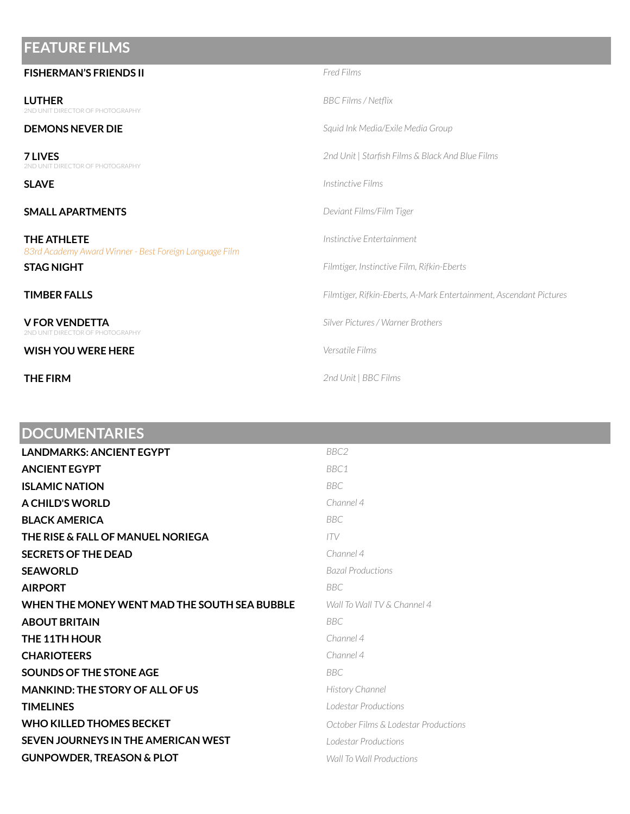#### **FEATURE FILMS**

| <b>FISHERMAN'S FRIENDS II</b>                                         | <b>Fred Films</b>                                                  |
|-----------------------------------------------------------------------|--------------------------------------------------------------------|
| <b>LUTHER</b><br>2ND UNIT DIRECTOR OF PHOTOGRAPHY                     | BBC Films / Netflix                                                |
| <b>DEMONS NEVER DIE</b>                                               | Squid Ink Media/Exile Media Group                                  |
| <b>7 LIVES</b><br>2ND UNIT DIRECTOR OF PHOTOGRAPHY                    | 2nd Unit   Starfish Films & Black And Blue Films                   |
| <b>SLAVE</b>                                                          | Instinctive Films                                                  |
| <b>SMALL APARTMENTS</b>                                               | Deviant Films/Film Tiger                                           |
| THE ATHLETE<br>83rd Academy Award Winner - Best Foreign Language Film | Instinctive Entertainment                                          |
| <b>STAG NIGHT</b>                                                     | Filmtiger, Instinctive Film, Rifkin-Eberts                         |
| <b>TIMBER FALLS</b>                                                   | Filmtiger, Rifkin-Eberts, A-Mark Entertainment, Ascendant Pictures |
| <b>V FOR VENDETTA</b><br>2ND UNIT DIRECTOR OF PHOTOGRAPHY             | Silver Pictures / Warner Brothers                                  |
| <b>WISH YOU WERE HERE</b>                                             | Versatile Films                                                    |
| <b>THE FIRM</b>                                                       | 2nd Unit   BBC Films                                               |

### **DOCUMENTARIES**

| <b>LANDMARKS: ANCIENT EGYPT</b>              | BBC <sub>2</sub>                     |
|----------------------------------------------|--------------------------------------|
| <b>ANCIENT EGYPT</b>                         | BBC1                                 |
| <b>ISLAMIC NATION</b>                        | <b>BBC</b>                           |
| A CHILD'S WORLD                              | Channel 4                            |
| <b>BLACK AMERICA</b>                         | BBC.                                 |
| THE RISE & FALL OF MANUEL NORIEGA            | ITV                                  |
| <b>SECRETS OF THE DEAD</b>                   | Channel 4                            |
| <b>SEAWORLD</b>                              | <b>Bazal Productions</b>             |
| <b>AIRPORT</b>                               | BBC.                                 |
| WHEN THE MONEY WENT MAD THE SOUTH SEA BUBBLE | Wall To Wall TV & Channel 4          |
| <b>ABOUT BRITAIN</b>                         | BBC                                  |
| THE 11TH HOUR                                | Channel 4                            |
| <b>CHARIOTEERS</b>                           | Channel 4                            |
| SOUNDS OF THE STONE AGE                      | BBC.                                 |
| <b>MANKIND: THE STORY OF ALL OF US</b>       | History Channel                      |
| <b>TIMELINES</b>                             | Lodestar Productions                 |
| <b>WHO KILLED THOMES BECKET</b>              | October Films & Lodestar Productions |
| SEVEN JOURNEYS IN THE AMERICAN WEST          | Lodestar Productions                 |
| <b>GUNPOWDER, TREASON &amp; PLOT</b>         | Wall To Wall Productions             |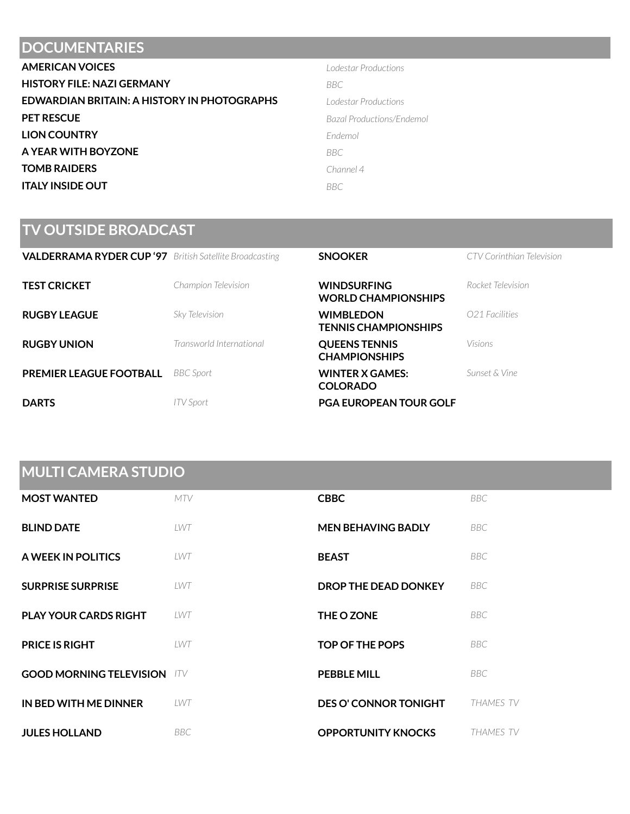#### **DOCUMENTARIES**

| <b>AMERICAN VOICES</b>                      | Lodestar Productions      |
|---------------------------------------------|---------------------------|
| <b>HISTORY FILE: NAZI GERMANY</b>           | <b>BBC</b>                |
| EDWARDIAN BRITAIN: A HISTORY IN PHOTOGRAPHS | Lodestar Productions      |
| <b>PET RESCUE</b>                           | Bazal Productions/Endemol |
| <b>LION COUNTRY</b>                         | Endemol                   |
| A YEAR WITH BOYZONE                         | <b>BBC</b>                |
| <b>TOMB RAIDERS</b>                         | Channel 4                 |
| <b>ITALY INSIDE OUT</b>                     | <b>BBC</b>                |

| Lodestar Productions    |
|-------------------------|
| BBC                     |
| Lodestar Productions    |
| Bazal Productions/Endem |
| Endemol                 |
| BBC                     |
| Channel 4               |
| BBC                     |

#### **TV OUTSIDE BROADCAST**

| <b>VALDERRAMA RYDER CUP '97</b> British Satellite Broadcasting |                          | <b>SNOOKER</b>                                   | CTV Corinthian Television |
|----------------------------------------------------------------|--------------------------|--------------------------------------------------|---------------------------|
| <b>TEST CRICKET</b>                                            | Champion Television      | <b>WINDSURFING</b><br><b>WORLD CHAMPIONSHIPS</b> | Rocket Television         |
| <b>RUGBY LEAGUE</b>                                            | Sky Television           | <b>WIMBLEDON</b><br><b>TENNIS CHAMPIONSHIPS</b>  | O21 Facilities            |
| <b>RUGBY UNION</b>                                             | Transworld International | <b>QUEENS TENNIS</b><br><b>CHAMPIONSHIPS</b>     | Visions                   |
| <b>PREMIER LEAGUE FOOTBALL</b>                                 | <b>BBC</b> Sport         | <b>WINTER X GAMES:</b><br><b>COLORADO</b>        | Sunset & Vine             |
| <b>DARTS</b>                                                   | ITV Sport                | <b>PGA EUROPEAN TOUR GOLF</b>                    |                           |

### **MULTI CAMERA STUDIO**

| <b>MOST WANTED</b>                 | <b>MTV</b> | <b>CBBC</b>                  | BBC.             |
|------------------------------------|------------|------------------------------|------------------|
| <b>BLIND DATE</b>                  | LWT        | <b>MEN BEHAVING BADLY</b>    | BBC.             |
| A WEEK IN POLITICS                 | LWT        | <b>BEAST</b>                 | BBC              |
| <b>SURPRISE SURPRISE</b>           | LWT        | DROP THE DEAD DONKEY         | BBC              |
| <b>PLAY YOUR CARDS RIGHT</b>       | LWT        | THE O ZONE                   | <b>BBC</b>       |
| <b>PRICE IS RIGHT</b>              | LWT        | <b>TOP OF THE POPS</b>       | BBC              |
| <b>GOOD MORNING TELEVISION</b> ITV |            | <b>PEBBLE MILL</b>           | BBC              |
| IN BED WITH ME DINNER              | LWT        | <b>DES O' CONNOR TONIGHT</b> | THAMES TV        |
| <b>JULES HOLLAND</b>               | <b>BBC</b> | <b>OPPORTUNITY KNOCKS</b>    | <b>THAMES TV</b> |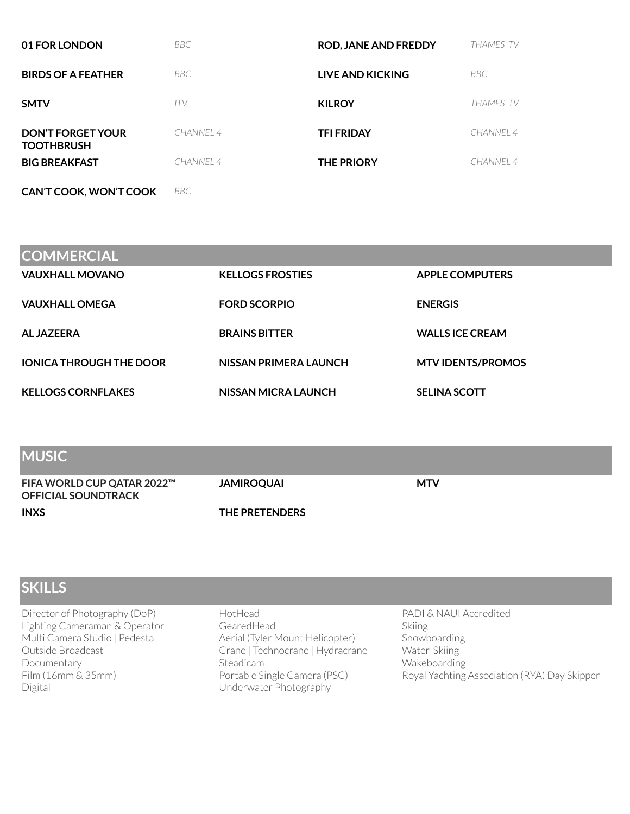| 01 FOR LONDON                                 | <b>BBC</b> | <b>ROD, JANE AND FREDDY</b> | <b>THAMES TV</b> |
|-----------------------------------------------|------------|-----------------------------|------------------|
| <b>BIRDS OF A FEATHER</b>                     | <b>BBC</b> | LIVE AND KICKING            | BBC              |
| <b>SMTV</b>                                   | ITV        | <b>KILROY</b>               | THAMES TV        |
| <b>DON'T FORGET YOUR</b><br><b>TOOTHBRUSH</b> | CHANNEL 4  | <b>TFI FRIDAY</b>           | CHANNEL 4        |
| <b>BIG BREAKFAST</b>                          | CHANNEL 4  | <b>THE PRIORY</b>           | CHANNEL 4        |
| CAN'T COOK, WON'T COOK                        | <b>BBC</b> |                             |                  |

| <b>COMMERCIAL</b>              |                         |                          |
|--------------------------------|-------------------------|--------------------------|
| <b>VAUXHALL MOVANO</b>         | <b>KELLOGS FROSTIES</b> | <b>APPLE COMPUTERS</b>   |
| <b>VAUXHALL OMEGA</b>          | <b>FORD SCORPIO</b>     | <b>ENERGIS</b>           |
| AL JAZEERA                     | <b>BRAINS BITTER</b>    | <b>WALLS ICE CREAM</b>   |
| <b>IONICA THROUGH THE DOOR</b> | NISSAN PRIMERA LAUNCH   | <b>MTV IDENTS/PROMOS</b> |
| <b>KELLOGS CORNFLAKES</b>      | NISSAN MICRA LAUNCH     | <b>SELINA SCOTT</b>      |

| <b>IMUSIC</b>                                            |                       |            |
|----------------------------------------------------------|-----------------------|------------|
| FIFA WORLD CUP QATAR 2022™<br><b>OFFICIAL SOUNDTRACK</b> | <b>JAMIROQUAI</b>     | <b>MTV</b> |
| <b>INXS</b>                                              | <b>THE PRETENDERS</b> |            |

| <b>SKILLS</b>                                                                                                                                                           |                                                                                                                                                                     |                                                                                                                                  |
|-------------------------------------------------------------------------------------------------------------------------------------------------------------------------|---------------------------------------------------------------------------------------------------------------------------------------------------------------------|----------------------------------------------------------------------------------------------------------------------------------|
| Director of Photography (DoP)<br>Lighting Cameraman & Operator<br>Multi Camera Studio   Pedestal<br>Outside Broadcast<br>Documentary<br>$Film(16mm \& 35mm)$<br>Digital | HotHead<br>GearedHead<br>Aerial (Tyler Mount Helicopter)<br>Crane   Technocrane   Hydracrane<br>Steadicam<br>Portable Single Camera (PSC)<br>Underwater Photography | PADI & NAUI Accredited<br>Skiing<br>Snowboarding<br>Water-Skiing<br>Wakeboarding<br>Royal Yachting Association (RYA) Day Skipper |